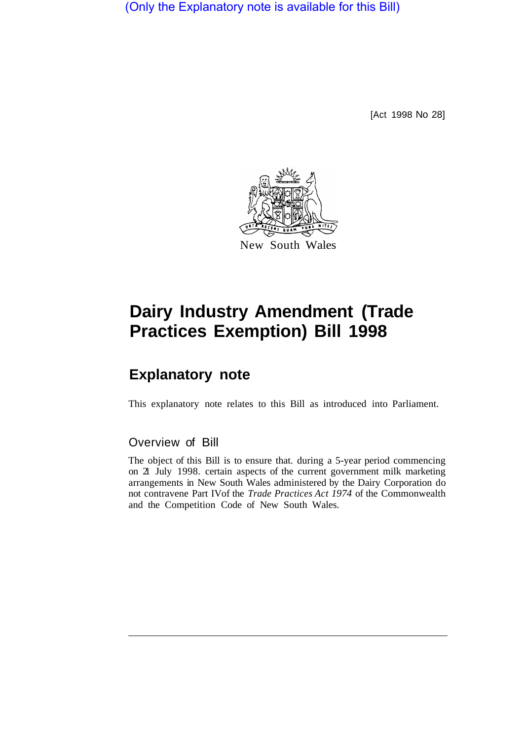(Only the Explanatory note is available for this Bill)

[Act 1998 No 28]



## **Dairy Industry Amendment (Trade Practices Exemption) Bill 1998**

## **Explanatory note**

This explanatory note relates to this Bill as introduced into Parliament.

## Overview of Bill

The object of this Bill is to ensure that. during a 5-year period commencing on 21 July 1998. certain aspects of the current government milk marketing arrangements in New South Wales administered by the Dairy Corporation do not contravene Part IV of the *Trade Practices Act 1974* of the Commonwealth and the Competition Code of New South Wales.